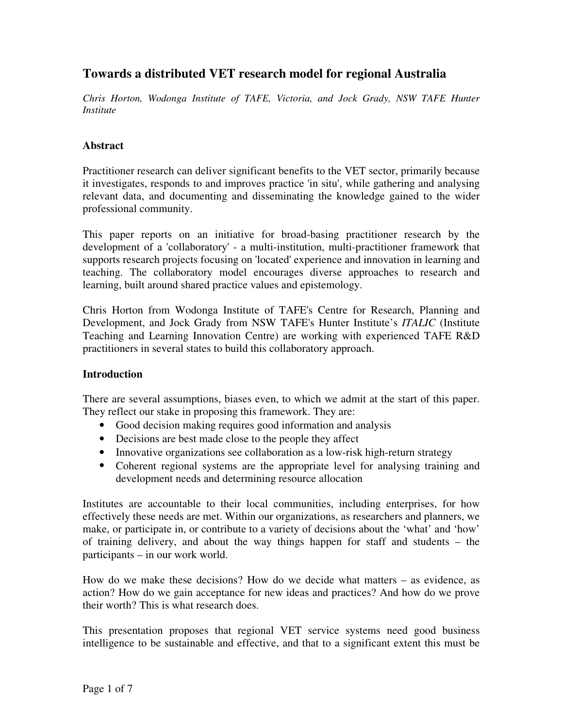# **Towards a distributed VET research model for regional Australia**

*Chris Horton, Wodonga Institute of TAFE, Victoria, and Jock Grady, NSW TAFE Hunter Institute*

## **Abstract**

Practitioner research can deliver significant benefits to the VET sector, primarily because it investigates, responds to and improves practice 'in situ', while gathering and analysing relevant data, and documenting and disseminating the knowledge gained to the wider professional community.

This paper reports on an initiative for broad-basing practitioner research by the development of a 'collaboratory' - a multi-institution, multi-practitioner framework that supports research projects focusing on 'located' experience and innovation in learning and teaching. The collaboratory model encourages diverse approaches to research and learning, built around shared practice values and epistemology.

Chris Horton from Wodonga Institute of TAFE's Centre for Research, Planning and Development, and Jock Grady from NSW TAFE's Hunter Institute's *ITALIC* (Institute Teaching and Learning Innovation Centre) are working with experienced TAFE R&D practitioners in several states to build this collaboratory approach.

### **Introduction**

There are several assumptions, biases even, to which we admit at the start of this paper. They reflect our stake in proposing this framework. They are:

- Good decision making requires good information and analysis
- Decisions are best made close to the people they affect
- Innovative organizations see collaboration as a low-risk high-return strategy
- Coherent regional systems are the appropriate level for analysing training and development needs and determining resource allocation

Institutes are accountable to their local communities, including enterprises, for how effectively these needs are met. Within our organizations, as researchers and planners, we make, or participate in, or contribute to a variety of decisions about the 'what' and 'how' of training delivery, and about the way things happen for staff and students – the participants – in our work world.

How do we make these decisions? How do we decide what matters – as evidence, as action? How do we gain acceptance for new ideas and practices? And how do we prove their worth? This is what research does.

This presentation proposes that regional VET service systems need good business intelligence to be sustainable and effective, and that to a significant extent this must be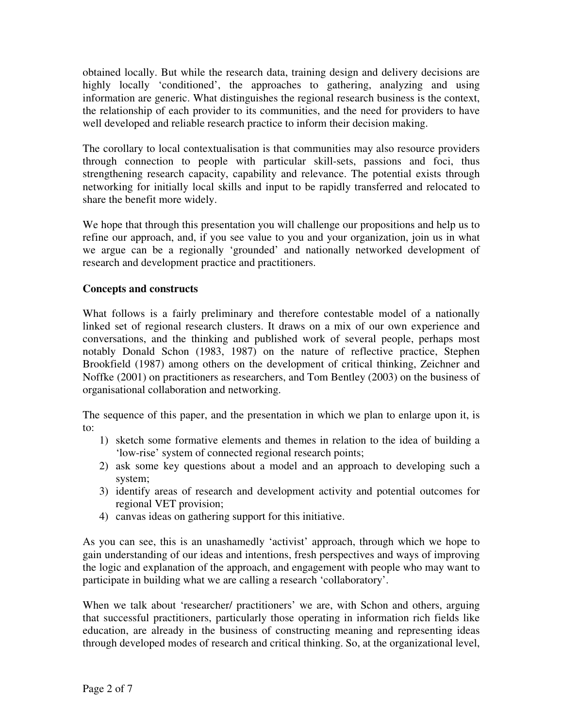obtained locally. But while the research data, training design and delivery decisions are highly locally 'conditioned', the approaches to gathering, analyzing and using information are generic. What distinguishes the regional research business is the context, the relationship of each provider to its communities, and the need for providers to have well developed and reliable research practice to inform their decision making.

The corollary to local contextualisation is that communities may also resource providers through connection to people with particular skill-sets, passions and foci, thus strengthening research capacity, capability and relevance. The potential exists through networking for initially local skills and input to be rapidly transferred and relocated to share the benefit more widely.

We hope that through this presentation you will challenge our propositions and help us to refine our approach, and, if you see value to you and your organization, join us in what we argue can be a regionally 'grounded' and nationally networked development of research and development practice and practitioners.

### **Concepts and constructs**

What follows is a fairly preliminary and therefore contestable model of a nationally linked set of regional research clusters. It draws on a mix of our own experience and conversations, and the thinking and published work of several people, perhaps most notably Donald Schon (1983, 1987) on the nature of reflective practice, Stephen Brookfield (1987) among others on the development of critical thinking, Zeichner and Noffke (2001) on practitioners as researchers, and Tom Bentley (2003) on the business of organisational collaboration and networking.

The sequence of this paper, and the presentation in which we plan to enlarge upon it, is to:

- 1) sketch some formative elements and themes in relation to the idea of building a 'low-rise' system of connected regional research points;
- 2) ask some key questions about a model and an approach to developing such a system;
- 3) identify areas of research and development activity and potential outcomes for regional VET provision;
- 4) canvas ideas on gathering support for this initiative.

As you can see, this is an unashamedly 'activist' approach, through which we hope to gain understanding of our ideas and intentions, fresh perspectives and ways of improving the logic and explanation of the approach, and engagement with people who may want to participate in building what we are calling a research 'collaboratory'.

When we talk about 'researcher/ practitioners' we are, with Schon and others, arguing that successful practitioners, particularly those operating in information rich fields like education, are already in the business of constructing meaning and representing ideas through developed modes of research and critical thinking. So, at the organizational level,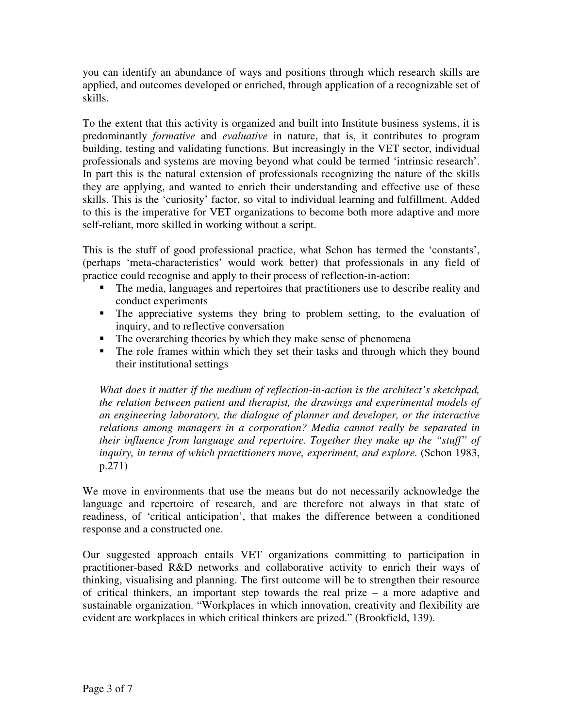you can identify an abundance of ways and positions through which research skills are applied, and outcomes developed or enriched, through application of a recognizable set of skills.

To the extent that this activity is organized and built into Institute business systems, it is predominantly *formative* and *evaluative* in nature, that is, it contributes to program building, testing and validating functions. But increasingly in the VET sector, individual professionals and systems are moving beyond what could be termed 'intrinsic research'. In part this is the natural extension of professionals recognizing the nature of the skills they are applying, and wanted to enrich their understanding and effective use of these skills. This is the 'curiosity' factor, so vital to individual learning and fulfillment. Added to this is the imperative for VET organizations to become both more adaptive and more self-reliant, more skilled in working without a script.

This is the stuff of good professional practice, what Schon has termed the 'constants', (perhaps 'meta-characteristics' would work better) that professionals in any field of practice could recognise and apply to their process of reflection-in-action:

- The media, languages and repertoires that practitioners use to describe reality and conduct experiments
- The appreciative systems they bring to problem setting, to the evaluation of inquiry, and to reflective conversation
- The overarching theories by which they make sense of phenomena
- The role frames within which they set their tasks and through which they bound their institutional settings

*What does it matter if the medium of reflection-in-action is the architect's sketchpad, the relation between patient and therapist, the drawings and experimental models of an engineering laboratory, the dialogue of planner and developer, or the interactive relations among managers in a corporation? Media cannot really be separated in their influence from language and repertoire. Together they make up the "stuff" of inquiry, in terms of which practitioners move, experiment, and explore.* (Schon 1983, p.271)

We move in environments that use the means but do not necessarily acknowledge the language and repertoire of research, and are therefore not always in that state of readiness, of 'critical anticipation', that makes the difference between a conditioned response and a constructed one.

Our suggested approach entails VET organizations committing to participation in practitioner-based R&D networks and collaborative activity to enrich their ways of thinking, visualising and planning. The first outcome will be to strengthen their resource of critical thinkers, an important step towards the real prize – a more adaptive and sustainable organization. "Workplaces in which innovation, creativity and flexibility are evident are workplaces in which critical thinkers are prized." (Brookfield, 139).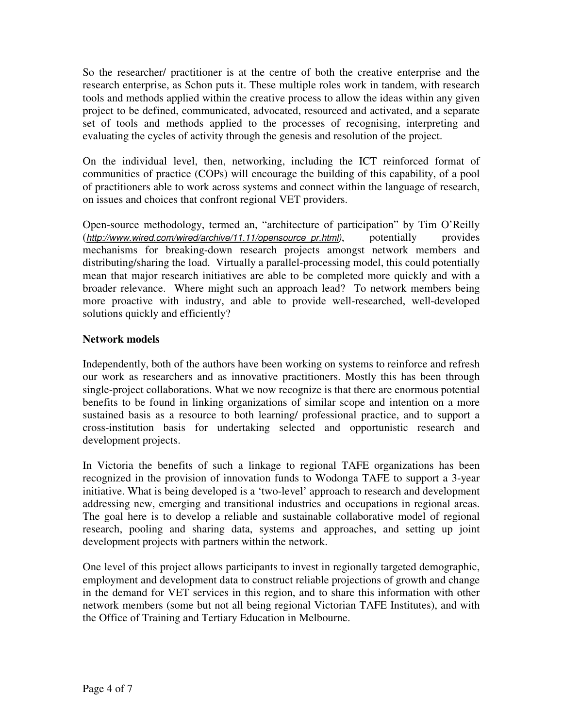So the researcher/ practitioner is at the centre of both the creative enterprise and the research enterprise, as Schon puts it. These multiple roles work in tandem, with research tools and methods applied within the creative process to allow the ideas within any given project to be defined, communicated, advocated, resourced and activated, and a separate set of tools and methods applied to the processes of recognising, interpreting and evaluating the cycles of activity through the genesis and resolution of the project.

On the individual level, then, networking, including the ICT reinforced format of communities of practice (COPs) will encourage the building of this capability, of a pool of practitioners able to work across systems and connect within the language of research, on issues and choices that confront regional VET providers.

Open-source methodology, termed an, "architecture of participation" by Tim O'Reilly (*http://www.wired.com/wired/archive/11.11/opensource\_pr.html)*, potentially provides mechanisms for breaking-down research projects amongst network members and distributing/sharing the load. Virtually a parallel-processing model, this could potentially mean that major research initiatives are able to be completed more quickly and with a broader relevance. Where might such an approach lead? To network members being more proactive with industry, and able to provide well-researched, well-developed solutions quickly and efficiently?

### **Network models**

Independently, both of the authors have been working on systems to reinforce and refresh our work as researchers and as innovative practitioners. Mostly this has been through single-project collaborations. What we now recognize is that there are enormous potential benefits to be found in linking organizations of similar scope and intention on a more sustained basis as a resource to both learning/ professional practice, and to support a cross-institution basis for undertaking selected and opportunistic research and development projects.

In Victoria the benefits of such a linkage to regional TAFE organizations has been recognized in the provision of innovation funds to Wodonga TAFE to support a 3-year initiative. What is being developed is a 'two-level' approach to research and development addressing new, emerging and transitional industries and occupations in regional areas. The goal here is to develop a reliable and sustainable collaborative model of regional research, pooling and sharing data, systems and approaches, and setting up joint development projects with partners within the network.

One level of this project allows participants to invest in regionally targeted demographic, employment and development data to construct reliable projections of growth and change in the demand for VET services in this region, and to share this information with other network members (some but not all being regional Victorian TAFE Institutes), and with the Office of Training and Tertiary Education in Melbourne.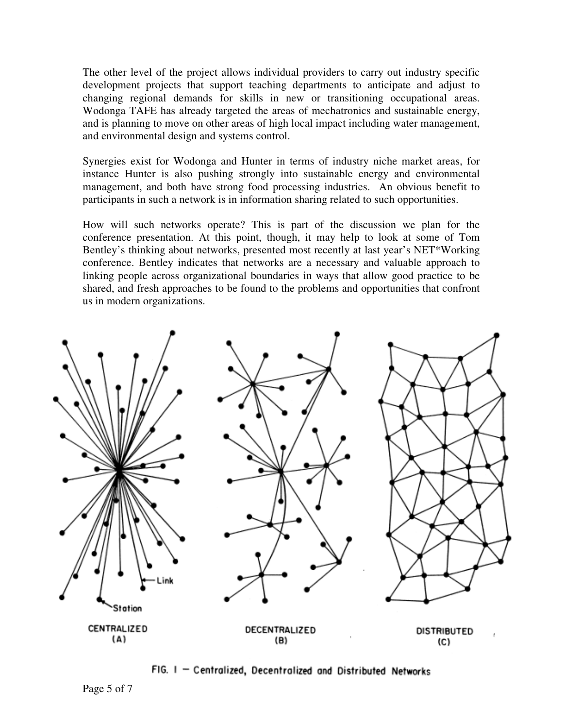The other level of the project allows individual providers to carry out industry specific development projects that support teaching departments to anticipate and adjust to changing regional demands for skills in new or transitioning occupational areas. Wodonga TAFE has already targeted the areas of mechatronics and sustainable energy, and is planning to move on other areas of high local impact including water management, and environmental design and systems control.

Synergies exist for Wodonga and Hunter in terms of industry niche market areas, for instance Hunter is also pushing strongly into sustainable energy and environmental management, and both have strong food processing industries. An obvious benefit to participants in such a network is in information sharing related to such opportunities.

How will such networks operate? This is part of the discussion we plan for the conference presentation. At this point, though, it may help to look at some of Tom Bentley's thinking about networks, presented most recently at last year's NET\*Working conference. Bentley indicates that networks are a necessary and valuable approach to linking people across organizational boundaries in ways that allow good practice to be shared, and fresh approaches to be found to the problems and opportunities that confront us in modern organizations.



FIG. I - Centralized, Decentralized and Distributed Networks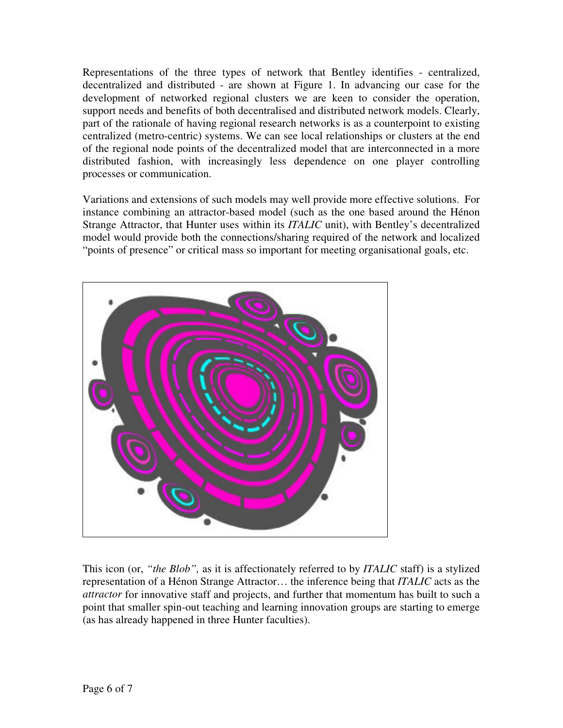Representations of the three types of network that Bentley identifies - centralized, decentralized and distributed - are shown at Figure 1. In advancing our case for the development of networked regional clusters we are keen to consider the operation, support needs and benefits of both decentralised and distributed network models. Clearly, part of the rationale of having regional research networks is as a counterpoint to existing centralized (metro-centric) systems. We can see local relationships or clusters at the end of the regional node points of the decentralized model that are interconnected in a more distributed fashion, with increasingly less dependence on one player controlling processes or communication.

Variations and extensions of such models may well provide more effective solutions. For instance combining an attractor-based model (such as the one based around the Hénon Strange Attractor, that Hunter uses within its *ITALIC* unit), with Bentley's decentralized model would provide both the connections/sharing required of the network and localized "points of presence" or critical mass so important for meeting organisational goals, etc.



This icon (or, *"the Blob",* as it is affectionately referred to by *ITALIC* staff) is a stylized representation of a Hénon Strange Attractor… the inference being that *ITALIC* acts as the *attractor* for innovative staff and projects, and further that momentum has built to such a point that smaller spin-out teaching and learning innovation groups are starting to emerge (as has already happened in three Hunter faculties).